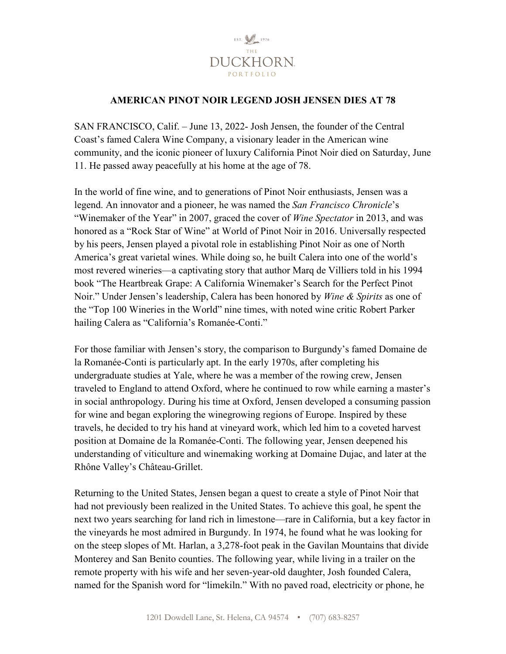

## **AMERICAN PINOT NOIR LEGEND JOSH JENSEN DIES AT 78**

SAN FRANCISCO, Calif. – June 13, 2022- Josh Jensen, the founder of the Central Coast's famed Calera Wine Company, a visionary leader in the American wine community, and the iconic pioneer of luxury California Pinot Noir died on Saturday, June 11. He passed away peacefully at his home at the age of 78.

In the world of fine wine, and to generations of Pinot Noir enthusiasts, Jensen was a legend. An innovator and a pioneer, he was named the *San Francisco Chronicle*'s "Winemaker of the Year" in 2007, graced the cover of *Wine Spectator* in 2013, and was honored as a "Rock Star of Wine" at World of Pinot Noir in 2016. Universally respected by his peers, Jensen played a pivotal role in establishing Pinot Noir as one of North America's great varietal wines. While doing so, he built Calera into one of the world's most revered wineries—a captivating story that author Marq de Villiers told in his 1994 book "The Heartbreak Grape: A California Winemaker's Search for the Perfect Pinot Noir." Under Jensen's leadership, Calera has been honored by *Wine & Spirits* as one of the "Top 100 Wineries in the World" nine times, with noted wine critic Robert Parker hailing Calera as "California's Romanée-Conti."

For those familiar with Jensen's story, the comparison to Burgundy's famed Domaine de la Romanée-Conti is particularly apt. In the early 1970s, after completing his undergraduate studies at Yale, where he was a member of the rowing crew, Jensen traveled to England to attend Oxford, where he continued to row while earning a master's in social anthropology. During his time at Oxford, Jensen developed a consuming passion for wine and began exploring the winegrowing regions of Europe. Inspired by these travels, he decided to try his hand at vineyard work, which led him to a coveted harvest position at Domaine de la Romanée-Conti. The following year, Jensen deepened his understanding of viticulture and winemaking working at Domaine Dujac, and later at the Rhône Valley's Château-Grillet.

Returning to the United States, Jensen began a quest to create a style of Pinot Noir that had not previously been realized in the United States. To achieve this goal, he spent the next two years searching for land rich in limestone—rare in California, but a key factor in the vineyards he most admired in Burgundy. In 1974, he found what he was looking for on the steep slopes of Mt. Harlan, a 3,278-foot peak in the Gavilan Mountains that divide Monterey and San Benito counties. The following year, while living in a trailer on the remote property with his wife and her seven-year-old daughter, Josh founded Calera, named for the Spanish word for "limekiln." With no paved road, electricity or phone, he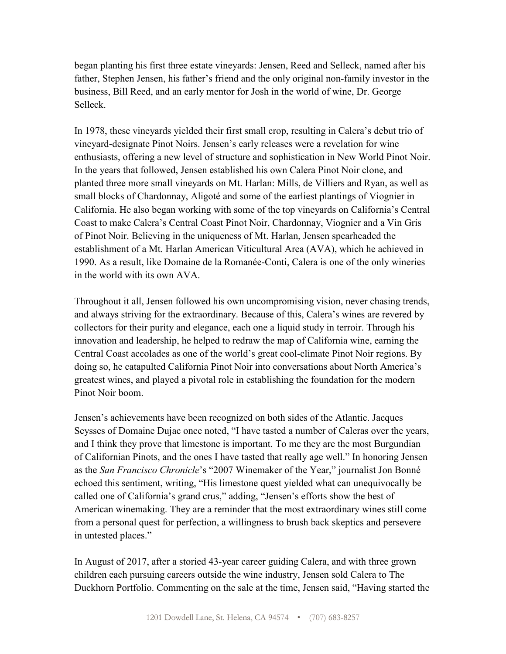began planting his first three estate vineyards: Jensen, Reed and Selleck, named after his father, Stephen Jensen, his father's friend and the only original non-family investor in the business, Bill Reed, and an early mentor for Josh in the world of wine, Dr. George Selleck.

In 1978, these vineyards yielded their first small crop, resulting in Calera's debut trio of vineyard-designate Pinot Noirs. Jensen's early releases were a revelation for wine enthusiasts, offering a new level of structure and sophistication in New World Pinot Noir. In the years that followed, Jensen established his own Calera Pinot Noir clone, and planted three more small vineyards on Mt. Harlan: Mills, de Villiers and Ryan, as well as small blocks of Chardonnay, Aligoté and some of the earliest plantings of Viognier in California. He also began working with some of the top vineyards on California's Central Coast to make Calera's Central Coast Pinot Noir, Chardonnay, Viognier and a Vin Gris of Pinot Noir. Believing in the uniqueness of Mt. Harlan, Jensen spearheaded the establishment of a Mt. Harlan American Viticultural Area (AVA), which he achieved in 1990. As a result, like Domaine de la Romanée-Conti, Calera is one of the only wineries in the world with its own AVA.

Throughout it all, Jensen followed his own uncompromising vision, never chasing trends, and always striving for the extraordinary. Because of this, Calera's wines are revered by collectors for their purity and elegance, each one a liquid study in terroir. Through his innovation and leadership, he helped to redraw the map of California wine, earning the Central Coast accolades as one of the world's great cool-climate Pinot Noir regions. By doing so, he catapulted California Pinot Noir into conversations about North America's greatest wines, and played a pivotal role in establishing the foundation for the modern Pinot Noir boom.

Jensen's achievements have been recognized on both sides of the Atlantic. Jacques Seysses of Domaine Dujac once noted, "I have tasted a number of Caleras over the years, and I think they prove that limestone is important. To me they are the most Burgundian of Californian Pinots, and the ones I have tasted that really age well." In honoring Jensen as the *San Francisco Chronicle*'s "2007 Winemaker of the Year," journalist Jon Bonné echoed this sentiment, writing, "His limestone quest yielded what can unequivocally be called one of California's grand crus," adding, "Jensen's efforts show the best of American winemaking. They are a reminder that the most extraordinary wines still come from a personal quest for perfection, a willingness to brush back skeptics and persevere in untested places."

In August of 2017, after a storied 43-year career guiding Calera, and with three grown children each pursuing careers outside the wine industry, Jensen sold Calera to The Duckhorn Portfolio. Commenting on the sale at the time, Jensen said, "Having started the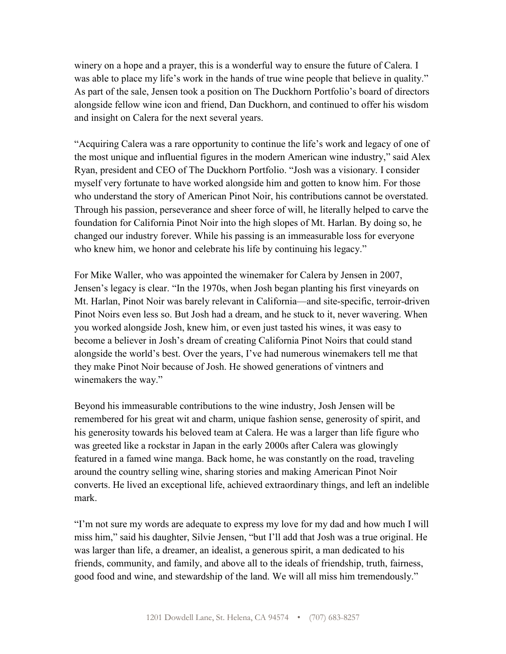winery on a hope and a prayer, this is a wonderful way to ensure the future of Calera. I was able to place my life's work in the hands of true wine people that believe in quality." As part of the sale, Jensen took a position on The Duckhorn Portfolio's board of directors alongside fellow wine icon and friend, Dan Duckhorn, and continued to offer his wisdom and insight on Calera for the next several years.

"Acquiring Calera was a rare opportunity to continue the life's work and legacy of one of the most unique and influential figures in the modern American wine industry," said Alex Ryan, president and CEO of The Duckhorn Portfolio. "Josh was a visionary. I consider myself very fortunate to have worked alongside him and gotten to know him. For those who understand the story of American Pinot Noir, his contributions cannot be overstated. Through his passion, perseverance and sheer force of will, he literally helped to carve the foundation for California Pinot Noir into the high slopes of Mt. Harlan. By doing so, he changed our industry forever. While his passing is an immeasurable loss for everyone who knew him, we honor and celebrate his life by continuing his legacy."

For Mike Waller, who was appointed the winemaker for Calera by Jensen in 2007, Jensen's legacy is clear. "In the 1970s, when Josh began planting his first vineyards on Mt. Harlan, Pinot Noir was barely relevant in California—and site-specific, terroir-driven Pinot Noirs even less so. But Josh had a dream, and he stuck to it, never wavering. When you worked alongside Josh, knew him, or even just tasted his wines, it was easy to become a believer in Josh's dream of creating California Pinot Noirs that could stand alongside the world's best. Over the years, I've had numerous winemakers tell me that they make Pinot Noir because of Josh. He showed generations of vintners and winemakers the way."

Beyond his immeasurable contributions to the wine industry, Josh Jensen will be remembered for his great wit and charm, unique fashion sense, generosity of spirit, and his generosity towards his beloved team at Calera. He was a larger than life figure who was greeted like a rockstar in Japan in the early 2000s after Calera was glowingly featured in a famed wine manga. Back home, he was constantly on the road, traveling around the country selling wine, sharing stories and making American Pinot Noir converts. He lived an exceptional life, achieved extraordinary things, and left an indelible mark.

"I'm not sure my words are adequate to express my love for my dad and how much I will miss him," said his daughter, Silvie Jensen, "but I'll add that Josh was a true original. He was larger than life, a dreamer, an idealist, a generous spirit, a man dedicated to his friends, community, and family, and above all to the ideals of friendship, truth, fairness, good food and wine, and stewardship of the land. We will all miss him tremendously."